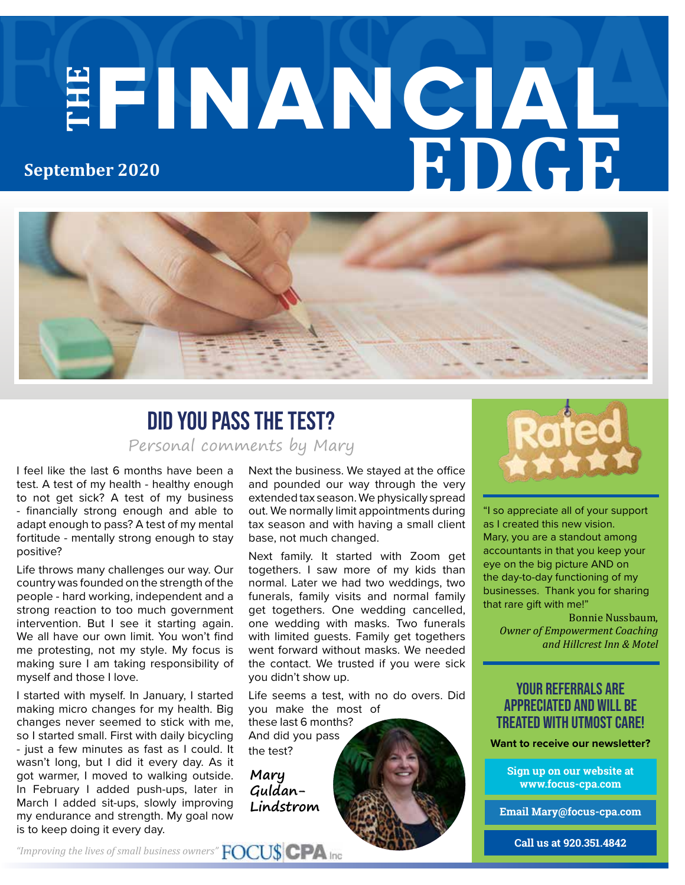# **THE** FINANCIAL **EDGE September 2020**



### Personal comments by Mary Did You Pass the Test?

I feel like the last 6 months have been a test. A test of my health - healthy enough to not get sick? A test of my business - financially strong enough and able to adapt enough to pass? A test of my mental fortitude - mentally strong enough to stay positive?

Life throws many challenges our way. Our country was founded on the strength of the people - hard working, independent and a strong reaction to too much government intervention. But I see it starting again. We all have our own limit. You won't find me protesting, not my style. My focus is making sure I am taking responsibility of myself and those I love.

I started with myself. In January, I started making micro changes for my health. Big changes never seemed to stick with me, so I started small. First with daily bicycling - just a few minutes as fast as I could. It wasn't long, but I did it every day. As it got warmer, I moved to walking outside. In February I added push-ups, later in March I added sit-ups, slowly improving my endurance and strength. My goal now is to keep doing it every day.

Next the business. We stayed at the office and pounded our way through the very extended tax season. We physically spread out. We normally limit appointments during tax season and with having a small client base, not much changed.

Next family. It started with Zoom get togethers. I saw more of my kids than normal. Later we had two weddings, two funerals, family visits and normal family get togethers. One wedding cancelled, one wedding with masks. Two funerals with limited guests. Family get togethers went forward without masks. We needed the contact. We trusted if you were sick you didn't show up.

Life seems a test, with no do overs. Did you make the most of these last 6 months? And did you pass the test?

**Mary Guldan-Lindstrom**



"I so appreciate all of your support as I created this new vision. Mary, you are a standout among accountants in that you keep your eye on the big picture AND on the day-to-day functioning of my businesses. Thank you for sharing that rare gift with me!"

Bonnie Nussbaum, *Owner of Empowerment Coaching and Hillcrest Inn & Motel*

#### your referrals are appreciated and will be treated with utmost care!

**Want to receive our newsletter?**

**Sign up on our website at www.focus-cpa.com**

**Email Mary@focus-cpa.com**

**Call us at 920.351.4842**

*"Improving the lives of small business owners"*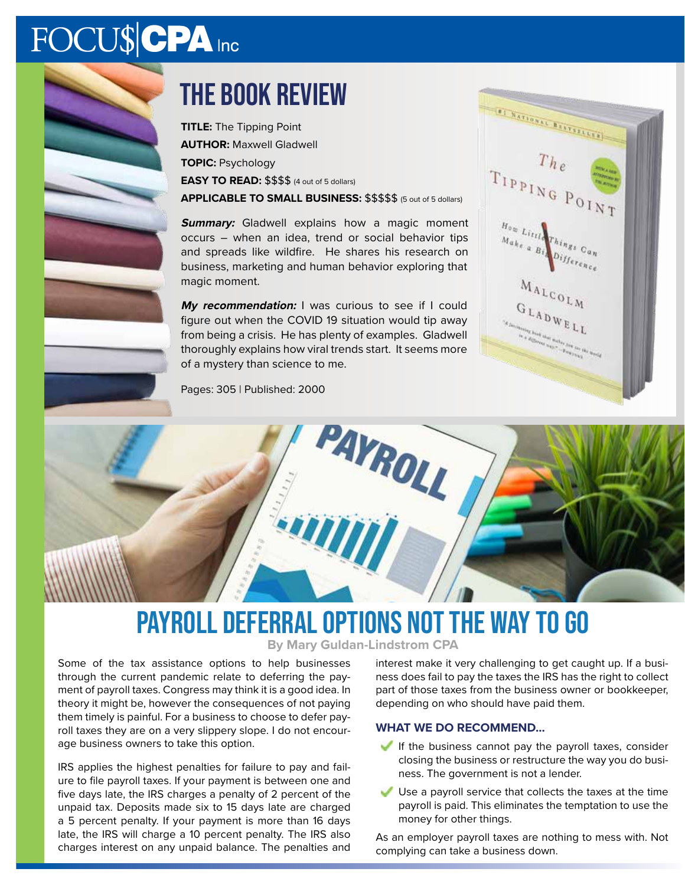# FOCU\$CPA Inc

# the book review

Pages: 305 | Published: 2000

**TITLE:** The Tipping Point **AUTHOR:** Maxwell Gladwell **TOPIC:** Psychology **EASY TO READ:** \$\$\$\$ (4 out of 5 dollars)

**APPLICABLE TO SMALL BUSINESS:** \$\$\$\$\$ (5 out of 5 dollars)

**Summary:** Gladwell explains how a magic moment occurs – when an idea, trend or social behavior tips and spreads like wildfire. He shares his research on business, marketing and human behavior exploring that magic moment.

**My recommendation:** I was curious to see if I could figure out when the COVID 19 situation would tip away from being a crisis. He has plenty of examples. Gladwell thoroughly explains how viral trends start. It seems more of a mystery than science to me.





# Payroll Deferral Options Not the Way to Go

**By Mary Guldan-Lindstrom CPA**

Some of the tax assistance options to help businesses through the current pandemic relate to deferring the payment of payroll taxes. Congress may think it is a good idea. In theory it might be, however the consequences of not paying them timely is painful. For a business to choose to defer payroll taxes they are on a very slippery slope. I do not encourage business owners to take this option.

IRS applies the highest penalties for failure to pay and failure to file payroll taxes. If your payment is between one and five days late, the IRS charges a penalty of 2 percent of the unpaid tax. Deposits made six to 15 days late are charged a 5 percent penalty. If your payment is more than 16 days late, the IRS will charge a 10 percent penalty. The IRS also charges interest on any unpaid balance. The penalties and interest make it very challenging to get caught up. If a business does fail to pay the taxes the IRS has the right to collect part of those taxes from the business owner or bookkeeper, depending on who should have paid them.

#### **WHAT WE DO RECOMMEND...**

- If the business cannot pay the payroll taxes, consider closing the business or restructure the way you do business. The government is not a lender.
- Use a payroll service that collects the taxes at the time payroll is paid. This eliminates the temptation to use the money for other things.

As an employer payroll taxes are nothing to mess with. Not complying can take a business down.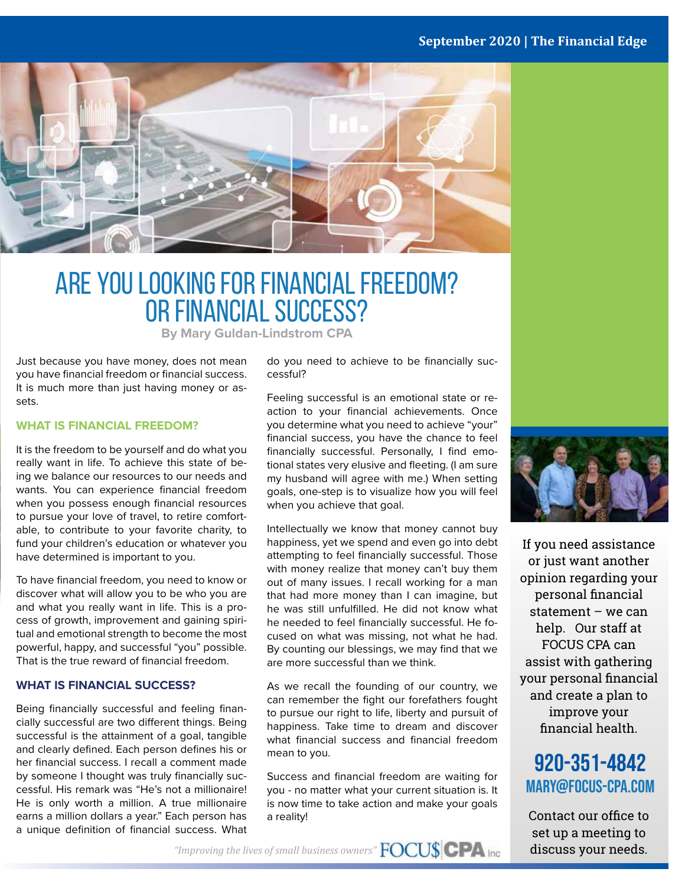#### **September 2020 | The Financial Edge**



## Are you looking for Financial freedom? Or Financial success?

**By Mary Guldan-Lindstrom CPA**

Just because you have money, does not mean you have financial freedom or financial success. It is much more than just having money or assets.

#### **WHAT IS FINANCIAL FREEDOM?**

It is the freedom to be yourself and do what you really want in life. To achieve this state of being we balance our resources to our needs and wants. You can experience financial freedom when you possess enough financial resources to pursue your love of travel, to retire comfortable, to contribute to your favorite charity, to fund your children's education or whatever you have determined is important to you.

To have financial freedom, you need to know or discover what will allow you to be who you are and what you really want in life. This is a process of growth, improvement and gaining spiritual and emotional strength to become the most powerful, happy, and successful "you" possible. That is the true reward of financial freedom.

#### **WHAT IS FINANCIAL SUCCESS?**

Being financially successful and feeling financially successful are two different things. Being successful is the attainment of a goal, tangible and clearly defined. Each person defines his or her financial success. I recall a comment made by someone I thought was truly financially successful. His remark was "He's not a millionaire! He is only worth a million. A true millionaire earns a million dollars a year." Each person has a unique definition of financial success. What

do you need to achieve to be financially successful?

Feeling successful is an emotional state or reaction to your financial achievements. Once you determine what you need to achieve "your" financial success, you have the chance to feel financially successful. Personally, I find emotional states very elusive and fleeting. (I am sure my husband will agree with me.) When setting goals, one-step is to visualize how you will feel when you achieve that goal.

Intellectually we know that money cannot buy happiness, yet we spend and even go into debt attempting to feel financially successful. Those with money realize that money can't buy them out of many issues. I recall working for a man that had more money than I can imagine, but he was still unfulfilled. He did not know what he needed to feel financially successful. He focused on what was missing, not what he had. By counting our blessings, we may find that we are more successful than we think.

As we recall the founding of our country, we can remember the fight our forefathers fought to pursue our right to life, liberty and pursuit of happiness. Take time to dream and discover what financial success and financial freedom mean to you.

Success and financial freedom are waiting for you - no matter what your current situation is. It is now time to take action and make your goals a reality!



If you need assistance or just want another opinion regarding your personal financial statement – we can help. Our staff at FOCUS CPA can assist with gathering your personal financial and create a plan to improve your financial health.

### 920-351-4842 mary@focus-cpa.com

Contact our office to set up a meeting to discuss your needs.

*"Improving the lives of small business owners"*